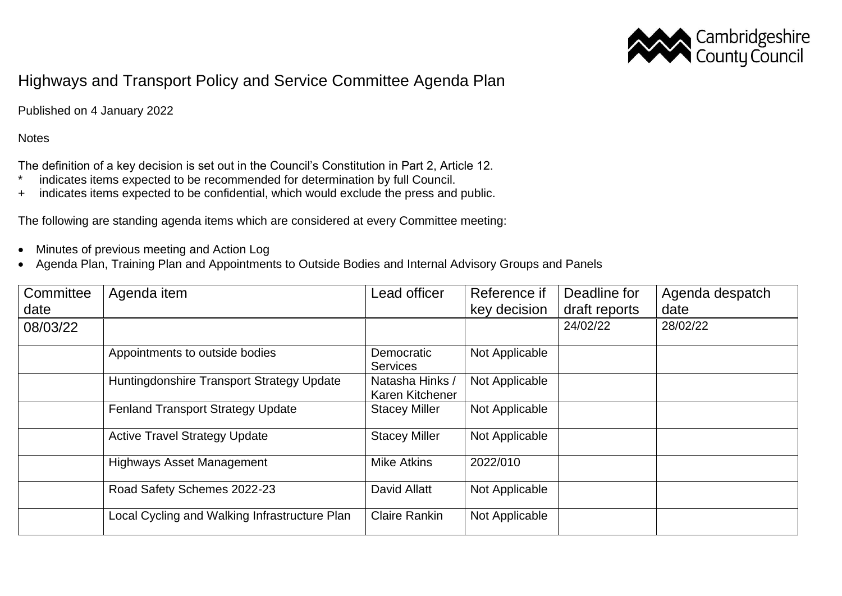

## Highways and Transport Policy and Service Committee Agenda Plan

Published on 4 January 2022

## **Notes**

The definition of a key decision is set out in the Council's Constitution in Part 2, Article 12.

- \* indicates items expected to be recommended for determination by full Council.
- + indicates items expected to be confidential, which would exclude the press and public.

The following are standing agenda items which are considered at every Committee meeting:

- Minutes of previous meeting and Action Log
- Agenda Plan, Training Plan and Appointments to Outside Bodies and Internal Advisory Groups and Panels

| Committee | Agenda item                                   | Lead officer                       | Reference if   | Deadline for  | Agenda despatch |
|-----------|-----------------------------------------------|------------------------------------|----------------|---------------|-----------------|
| date      |                                               |                                    | key decision   | draft reports | date            |
| 08/03/22  |                                               |                                    |                | 24/02/22      | 28/02/22        |
|           | Appointments to outside bodies                | Democratic<br><b>Services</b>      | Not Applicable |               |                 |
|           | Huntingdonshire Transport Strategy Update     | Natasha Hinks /<br>Karen Kitchener | Not Applicable |               |                 |
|           | <b>Fenland Transport Strategy Update</b>      | <b>Stacey Miller</b>               | Not Applicable |               |                 |
|           | <b>Active Travel Strategy Update</b>          | <b>Stacey Miller</b>               | Not Applicable |               |                 |
|           | <b>Highways Asset Management</b>              | <b>Mike Atkins</b>                 | 2022/010       |               |                 |
|           | Road Safety Schemes 2022-23                   | David Allatt                       | Not Applicable |               |                 |
|           | Local Cycling and Walking Infrastructure Plan | <b>Claire Rankin</b>               | Not Applicable |               |                 |